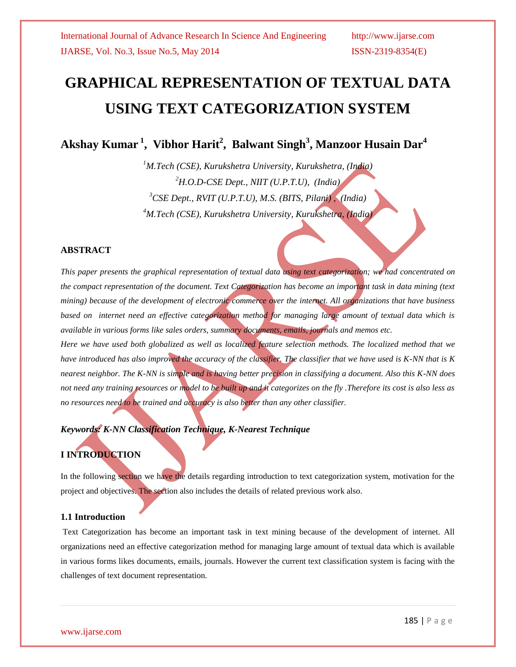# **GRAPHICAL REPRESENTATION OF TEXTUAL DATA USING TEXT CATEGORIZATION SYSTEM**

**Akshay Kumar <sup>1</sup> , Vibhor Harit<sup>2</sup> , Balwant Singh<sup>3</sup> , Manzoor Husain Dar<sup>4</sup>** 

*M.Tech (CSE), Kurukshetra University, Kurukshetra, (India) H.O.D-CSE Dept., NIIT (U.P.T.U), (India) CSE Dept., RVIT (U.P.T.U), M.S. (BITS, Pilani) , (India) M.Tech (CSE), Kurukshetra University, Kurukshetra, (India)*

### **ABSTRACT**

*This paper presents the graphical representation of textual data using text categorization; we had concentrated on the compact representation of the document. Text Categorization has become an important task in data mining (text mining) because of the development of electronic commerce over the internet. All organizations that have business based on internet need an effective categorization method for managing large amount of textual data which is available in various forms like sales orders, summary documents, emails, journals and memos etc.*

*Here we have used both globalized as well as localized feature selection methods. The localized method that we have introduced has also improved the accuracy of the classifier. The classifier that we have used is K-NN that is K nearest neighbor. The K-NN is simple and is having better precision in classifying a document. Also this K-NN does not need any training resources or model to be built up and it categorizes on the fly .Therefore its cost is also less as no resources need to be trained and accuracy is also better than any other classifier.*

*Keywords: K-NN Classification Technique, K-Nearest Technique*

### **I INTRODUCTION**

In the following section we have the details regarding introduction to text categorization system, motivation for the project and objectives. The section also includes the details of related previous work also.

### **1.1 Introduction**

Text Categorization has become an important task in text mining because of the development of internet. All organizations need an effective categorization method for managing large amount of textual data which is available in various forms likes documents, emails, journals. However the current text classification system is facing with the challenges of text document representation.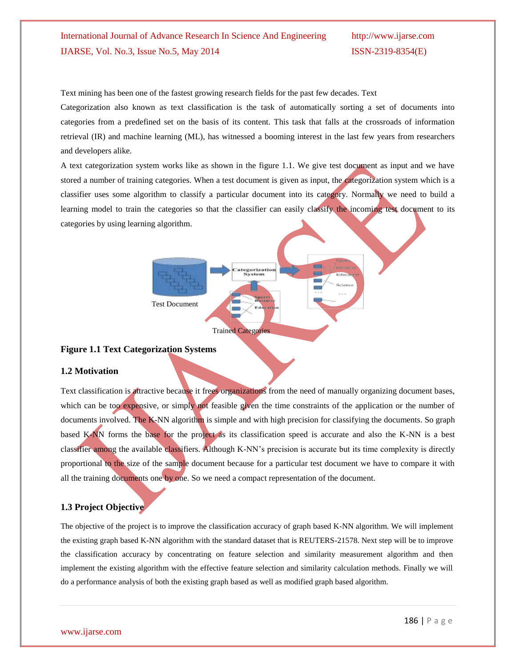Text mining has been one of the fastest growing research fields for the past few decades. Text

Categorization also known as text classification is the task of automatically sorting a set of documents into categories from a predefined set on the basis of its content. This task that falls at the crossroads of information retrieval (IR) and machine learning (ML), has witnessed a booming interest in the last few years from researchers and developers alike.

A text categorization system works like as shown in the figure 1.1. We give test document as input and we have stored a number of training categories. When a test document is given as input, the categorization system which is a classifier uses some algorithm to classify a particular document into its category. Normally we need to build a learning model to train the categories so that the classifier can easily classify the incoming test document to its categories by using learning algorithm.



#### **Figure 1.1 Text Categorization Systems**

#### **1.2 Motivation**

Text classification is attractive because it frees organizations from the need of manually organizing document bases, which can be too expensive, or simply not feasible given the time constraints of the application or the number of documents involved. The K-NN algorithm is simple and with high precision for classifying the documents. So graph based K-NN forms the base for the project as its classification speed is accurate and also the K-NN is a best classifier among the available classifiers. Although K-NN"s precision is accurate but its time complexity is directly proportional to the size of the sample document because for a particular test document we have to compare it with all the training documents one by one. So we need a compact representation of the document.

### **1.3 Project Objective**

The objective of the project is to improve the classification accuracy of graph based K-NN algorithm. We will implement the existing graph based K-NN algorithm with the standard dataset that is REUTERS-21578. Next step will be to improve the classification accuracy by concentrating on feature selection and similarity measurement algorithm and then implement the existing algorithm with the effective feature selection and similarity calculation methods. Finally we will do a performance analysis of both the existing graph based as well as modified graph based algorithm.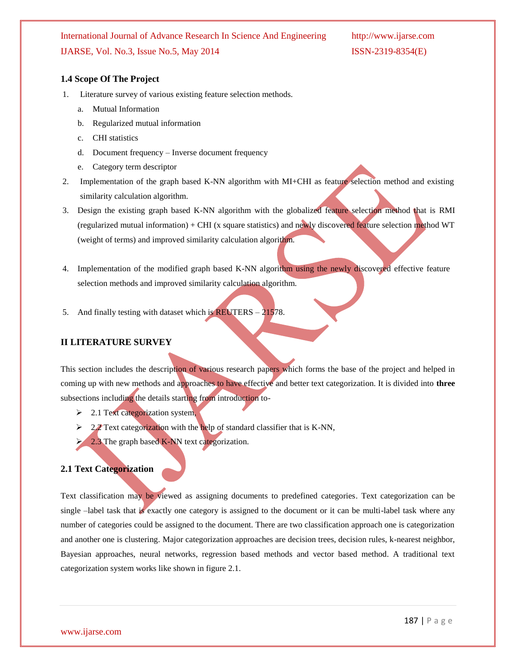#### **1.4 Scope Of The Project**

- 1. Literature survey of various existing feature selection methods.
	- a. Mutual Information
	- b. Regularized mutual information
	- c. CHI statistics
	- d. Document frequency Inverse document frequency
	- e. Category term descriptor
- 2. Implementation of the graph based K-NN algorithm with MI+CHI as feature selection method and existing similarity calculation algorithm.
- 3. Design the existing graph based K-NN algorithm with the globalized feature selection method that is RMI (regularized mutual information) + CHI (x square statistics) and newly discovered feature selection method WT (weight of terms) and improved similarity calculation algorithm.
- 4. Implementation of the modified graph based K-NN algorithm using the newly discovered effective feature selection methods and improved similarity calculation algorithm.
- 5. And finally testing with dataset which is  $REUTERS 21578$ .

#### **II LITERATURE SURVEY**

This section includes the description of various research papers which forms the base of the project and helped in coming up with new methods and approaches to have effective and better text categorization. It is divided into **three** subsections including the details starting from introduction to-

- $\geq$  2.1 Text categorization system,
- $\geq$  2.2 Text categorization with the help of standard classifier that is K-NN,
- $\geq$  2.3 The graph based K-NN text categorization.

#### **2.1 Text Categorization**

Text classification may be viewed as assigning documents to predefined categories. Text categorization can be single –label task that is exactly one category is assigned to the document or it can be multi-label task where any number of categories could be assigned to the document. There are two classification approach one is categorization and another one is clustering. Major categorization approaches are decision trees, decision rules, k-nearest neighbor, Bayesian approaches, neural networks, regression based methods and vector based method. A traditional text categorization system works like shown in figure 2.1.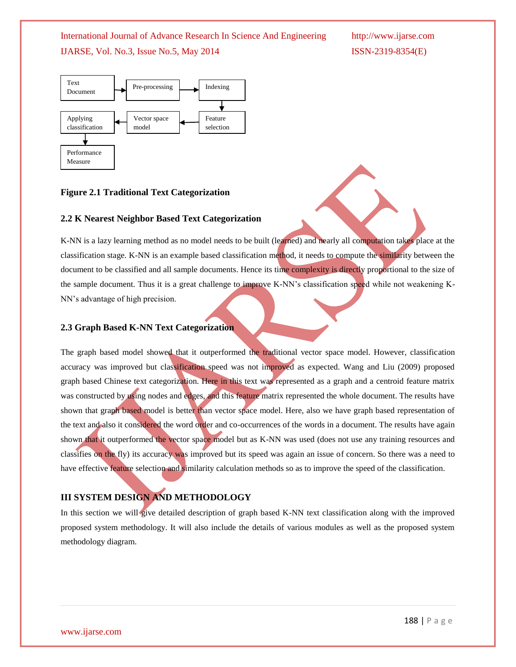International Journal of Advance Research In Science And Engineering http://www.ijarse.com

IJARSE, Vol. No.3, Issue No.5, May 2014 ISSN-2319-8354(E)



### **Figure 2.1 Traditional Text Categorization**

#### **2.2 K Nearest Neighbor Based Text Categorization**

K-NN is a lazy learning method as no model needs to be built (learned) and nearly all computation takes place at the classification stage. K-NN is an example based classification method, it needs to compute the similarity between the document to be classified and all sample documents. Hence its time complexity is directly proportional to the size of the sample document. Thus it is a great challenge to improve K-NN's classification speed while not weakening K-NN"s advantage of high precision.

#### **2.3 Graph Based K-NN Text Categorization**

The graph based model showed that it outperformed the traditional vector space model. However, classification accuracy was improved but classification speed was not improved as expected. Wang and Liu (2009) proposed graph based Chinese text categorization. Here in this text was represented as a graph and a centroid feature matrix was constructed by using nodes and edges, and this feature matrix represented the whole document. The results have shown that graph based model is better than vector space model. Here, also we have graph based representation of the text and also it considered the word order and co-occurrences of the words in a document. The results have again shown that it outperformed the vector space model but as K-NN was used (does not use any training resources and classifies on the fly) its accuracy was improved but its speed was again an issue of concern. So there was a need to have effective feature selection and similarity calculation methods so as to improve the speed of the classification.

### **III SYSTEM DESIGN AND METHODOLOGY**

In this section we will give detailed description of graph based K-NN text classification along with the improved proposed system methodology. It will also include the details of various modules as well as the proposed system methodology diagram.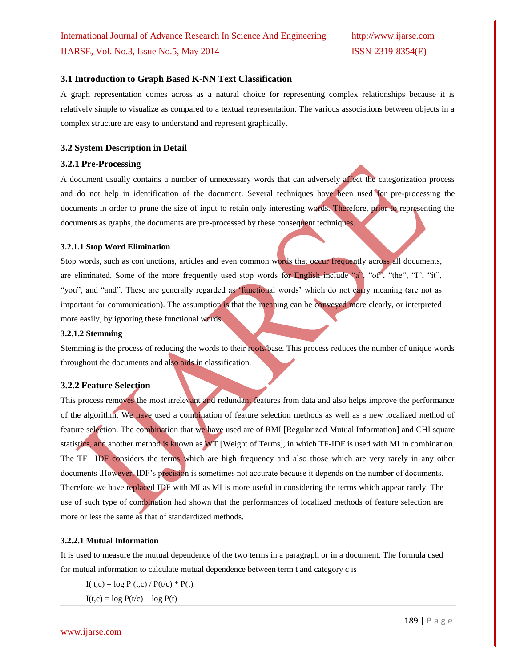#### **3.1 Introduction to Graph Based K-NN Text Classification**

A graph representation comes across as a natural choice for representing complex relationships because it is relatively simple to visualize as compared to a textual representation. The various associations between objects in a complex structure are easy to understand and represent graphically.

#### **3.2 System Description in Detail**

#### **3.2.1 Pre-Processing**

A document usually contains a number of unnecessary words that can adversely affect the categorization process and do not help in identification of the document. Several techniques have been used for pre-processing the documents in order to prune the size of input to retain only interesting words. Therefore, prior to representing the documents as graphs, the documents are pre-processed by these consequent techniques.

#### **3.2.1.1 Stop Word Elimination**

Stop words, such as conjunctions, articles and even common words that occur frequently across all documents, are eliminated. Some of the more frequently used stop words for English include "a", "of", "the", "I", "it", "you", and "and". These are generally regarded as "functional words" which do not carry meaning (are not as important for communication). The assumption is that the meaning can be conveyed more clearly, or interpreted more easily, by ignoring these functional words.

#### **3.2.1.2 Stemming**

Stemming is the process of reducing the words to their roots/base. This process reduces the number of unique words throughout the documents and also aids in classification.

#### **3.2.2 Feature Selection**

This process removes the most irrelevant and redundant features from data and also helps improve the performance of the algorithm. We have used a combination of feature selection methods as well as a new localized method of feature selection. The combination that we have used are of RMI [Regularized Mutual Information] and CHI square statistics, and another method is known as WT [Weight of Terms], in which TF-IDF is used with MI in combination. The TF –IDF considers the terms which are high frequency and also those which are very rarely in any other documents .However, IDF"s precision is sometimes not accurate because it depends on the number of documents. Therefore we have replaced IDF with MI as MI is more useful in considering the terms which appear rarely. The use of such type of combination had shown that the performances of localized methods of feature selection are more or less the same as that of standardized methods.

#### **3.2.2.1 Mutual Information**

It is used to measure the mutual dependence of the two terms in a paragraph or in a document. The formula used for mutual information to calculate mutual dependence between term t and category c is

I( t,c) = log P (t,c) /  $P(t/c) * P(t)$ 

 $I(t,c) = log P(t/c) - log P(t)$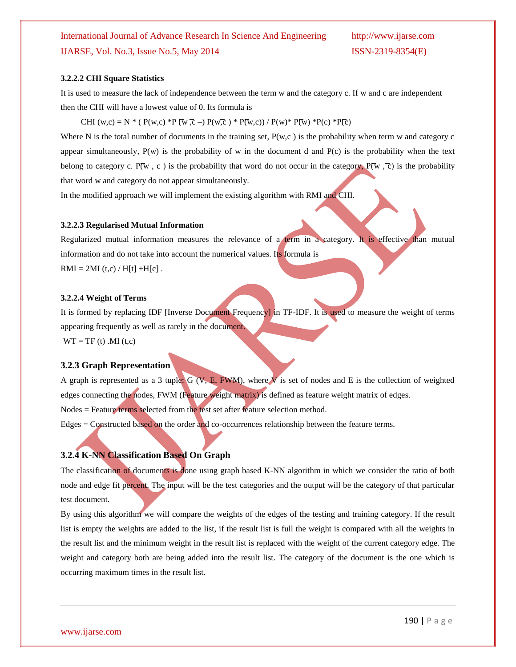#### **3.2.2.2 CHI Square Statistics**

It is used to measure the lack of independence between the term w and the category c. If w and c are independent then the CHI will have a lowest value of 0. Its formula is

CHI (w,c) = N \* (  $P(w,c)$  \*P (w,c) \*P (w,c) +  $P(w,c)$  /  $P(w,c)$  /  $P(w)$  \*P(w) \*P(c) \*P(c)

Where N is the total number of documents in the training set,  $P(w,c)$  is the probability when term w and category c appear simultaneously,  $P(w)$  is the probability of w in the document d and  $P(c)$  is the probability when the text belong to category c. P( $\overline{w}$ , c) is the probability that word do not occur in the category, P( $\overline{w}$ ,  $\overline{c}$ ) is the probability that word w and category do not appear simultaneously.

In the modified approach we will implement the existing algorithm with RMI and CHI.

#### **3.2.2.3 Regularised Mutual Information**

Regularized mutual information measures the relevance of a term in a category. It is effective than mutual information and do not take into account the numerical values. Its formula is  $RMI = 2MI(t,c) / H[t] + H[c]$ .

#### **3.2.2.4 Weight of Terms**

It is formed by replacing IDF [Inverse Document Frequency] in TF-IDF. It is used to measure the weight of terms appearing frequently as well as rarely in the document.  $WT = TF(t)$ . MI $(t,c)$ 

#### **3.2.3 Graph Representation**

A graph is represented as a 3 tuple:  $G (V, E, FWM)$ , where V is set of nodes and E is the collection of weighted edges connecting the nodes, FWM (Feature weight matrix) is defined as feature weight matrix of edges. Nodes = Feature terms selected from the test set after feature selection method. Edges = Constructed based on the order and co-occurrences relationship between the feature terms.

#### **3.2.4 K-NN Classification Based On Graph**

The classification of documents is done using graph based K-NN algorithm in which we consider the ratio of both node and edge fit percent. The input will be the test categories and the output will be the category of that particular test document.

By using this algorithm we will compare the weights of the edges of the testing and training category. If the result list is empty the weights are added to the list, if the result list is full the weight is compared with all the weights in the result list and the minimum weight in the result list is replaced with the weight of the current category edge. The weight and category both are being added into the result list. The category of the document is the one which is occurring maximum times in the result list.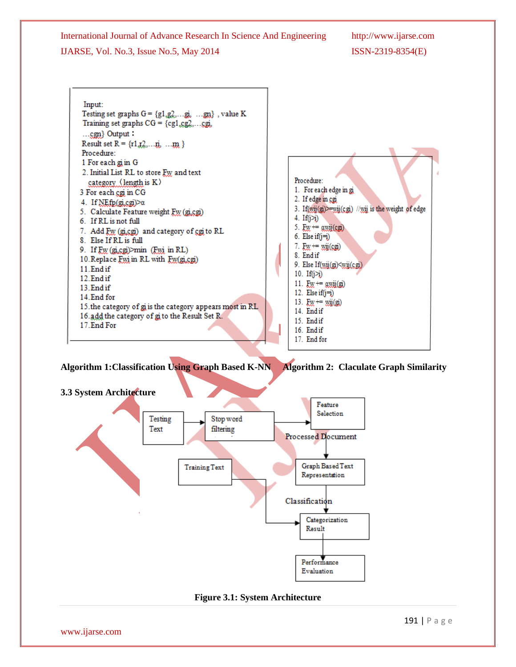

### **Algorithm 1:Classification Using Graph Based K-NN Algorithm 2: Claculate Graph Similarity**



**Figure 3.1: System Architecture**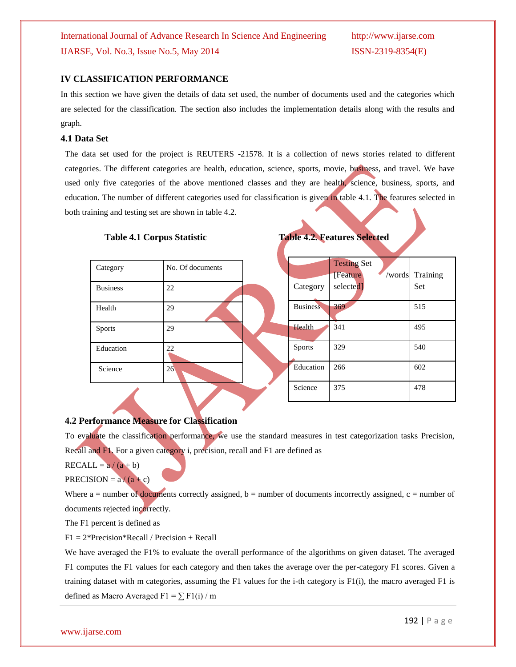### **IV CLASSIFICATION PERFORMANCE**

In this section we have given the details of data set used, the number of documents used and the categories which are selected for the classification. The section also includes the implementation details along with the results and graph.

### **4.1 Data Set**

The data set used for the project is REUTERS -21578. It is a collection of news stories related to different categories. The different categories are health, education, science, sports, movie, business, and travel. We have used only five categories of the above mentioned classes and they are health, science, business, sports, and education. The number of different categories used for classification is given in table 4.1. The features selected in both training and testing set are shown in table 4.2.

| Category        | No. Of documents |
|-----------------|------------------|
| <b>Business</b> | 22               |
| Health          | 29               |
| Sports          | 29               |
| Education       | 22               |
| Science         | 26               |

### **Table 4.1 Corpus Statistic Table 4.2. Features Selected**

| Category        | <b>Testing Set</b><br><b>[Feature</b> ]<br>selected] | /words Training<br><b>Set</b> |
|-----------------|------------------------------------------------------|-------------------------------|
| <b>Business</b> | 369                                                  | 515                           |
| Health          | 341                                                  | 495                           |
| <b>Sports</b>   | 329                                                  | 540                           |
| Education       | 266                                                  | 602                           |
| Science         | 375                                                  | 478                           |

### **4.2 Performance Measure for Classification**

To evaluate the classification performance, we use the standard measures in test categorization tasks Precision, Recall and F1. For a given category i, precision, recall and F1 are defined as

 $RECALL = a/(a + b)$ 

PRECISION =  $a/(a + c)$ 

Where  $a =$  number of documents correctly assigned,  $b =$  number of documents incorrectly assigned,  $c =$  number of documents rejected incorrectly.

The F1 percent is defined as

 $F1 = 2*Precision*Recall / Precision + Recall$ 

We have averaged the F1% to evaluate the overall performance of the algorithms on given dataset. The averaged F1 computes the F1 values for each category and then takes the average over the per-category F1 scores. Given a training dataset with m categories, assuming the F1 values for the i-th category is F1(i), the macro averaged F1 is defined as Macro Averaged F1 =  $\Sigma$  F1(i) / m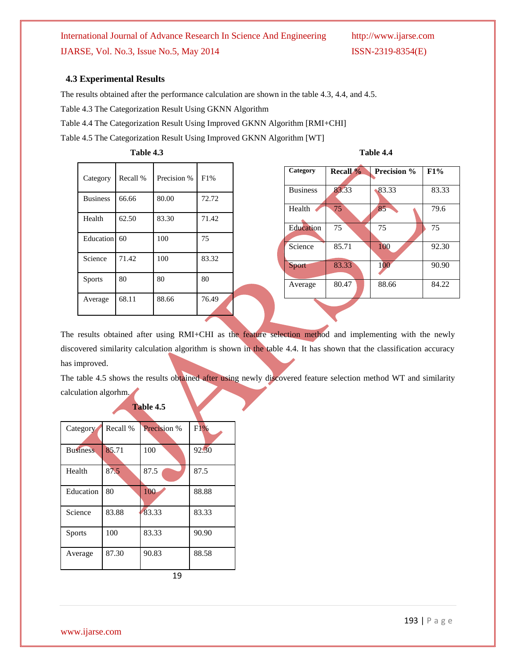#### **4.3 Experimental Results**

The results obtained after the performance calculation are shown in the table 4.3, 4.4, and 4.5.

Table 4.3 The Categorization Result Using GKNN Algorithm

Table 4.4 The Categorization Result Using Improved GKNN Algorithm [RMI+CHI]

Table 4.5 The Categorization Result Using Improved GKNN Algorithm [WT]

| Table 4.3       |          |             | Table 4.4 |  |                 |             |       |
|-----------------|----------|-------------|-----------|--|-----------------|-------------|-------|
| Category        | Recall % | Precision % | F1%       |  | Category        | Recall $\%$ | Preci |
| <b>Business</b> | 66.66    | 80.00       | 72.72     |  | <b>Business</b> | 83.33       | 83.3  |
| Health          | 62.50    | 83.30       | 71.42     |  | Health          | 75          | 85    |
|                 |          |             |           |  | Education       | 75          | 75    |
| Education       | 60       | 100         | 75        |  | Science         | 85.71       | 100   |
| Science         | 71.42    | 100         | 83.32     |  | <b>Sport</b>    | 83.33       | 100   |
| <b>Sports</b>   | 80       | 80          | 80        |  | Average         | 80.47       | 88.6  |
| Average         | 68.11    | 88.66       | 76.49     |  |                 |             |       |

| Category        | <b>Recall %</b> | <b>Precision %</b> | F1%   |
|-----------------|-----------------|--------------------|-------|
| <b>Business</b> | 83.33           | 83.33              | 83.33 |
| Health          | 75              | 85                 | 79.6  |
| Education       | 75              | 75                 | 75    |
| Science         | 85.71           | 100                | 92.30 |
| Sport           | 83.33           | 100                | 90.90 |
| Average         | 80.47           | 88.66              | 84.22 |

The results obtained after using RMI+CHI as the feature selection method and implementing with the newly discovered similarity calculation algorithm is shown in the table 4.4. It has shown that the classification accuracy has improved.

The table 4.5 shows the results obtained after using newly discovered feature selection method WT and similarity calculation algorhm.

| Category        | Recall % | Precision % | F1%   |
|-----------------|----------|-------------|-------|
| <b>Business</b> | 85.71    | 100         | 92.30 |
| Health          | 87.5     | 87.5        | 87.5  |
| Education       | 80       | 100         | 88.88 |
| Science         | 83.88    | 83.33       | 83.33 |
| <b>Sports</b>   | 100      | 83.33       | 90.90 |
| Average         | 87.30    | 90.83       | 88.58 |

 **Table 4.5**

19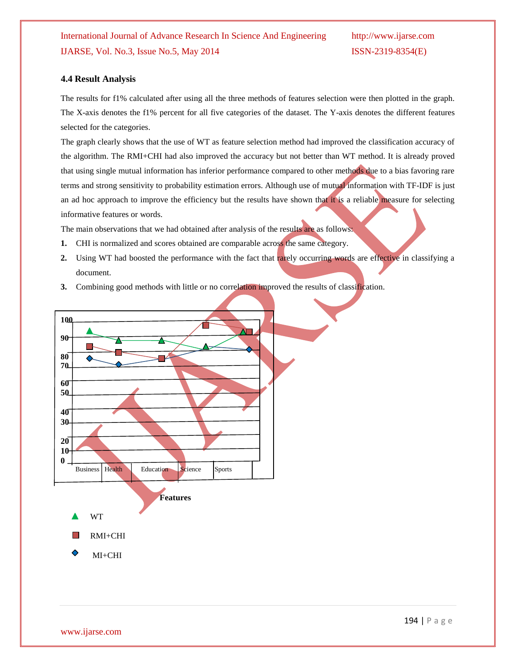#### **4.4 Result Analysis**

The results for f1% calculated after using all the three methods of features selection were then plotted in the graph. The X-axis denotes the f1% percent for all five categories of the dataset. The Y-axis denotes the different features selected for the categories.

The graph clearly shows that the use of WT as feature selection method had improved the classification accuracy of the algorithm. The RMI+CHI had also improved the accuracy but not better than WT method. It is already proved that using single mutual information has inferior performance compared to other methods due to a bias favoring rare terms and strong sensitivity to probability estimation errors. Although use of mutual information with TF-IDF is just an ad hoc approach to improve the efficiency but the results have shown that it is a reliable measure for selecting informative features or words.

The main observations that we had obtained after analysis of the results are as follows:

- **1.** CHI is normalized and scores obtained are comparable across the same category.
- **2.** Using WT had boosted the performance with the fact that rarely occurring words are effective in classifying a document.
- **3.** Combining good methods with little or no correlation improved the results of classification.

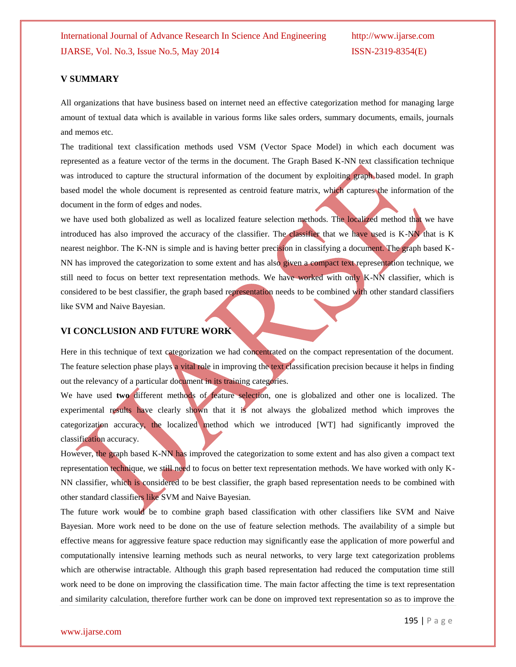#### **V SUMMARY**

All organizations that have business based on internet need an effective categorization method for managing large amount of textual data which is available in various forms like sales orders, summary documents, emails, journals and memos etc.

The traditional text classification methods used VSM (Vector Space Model) in which each document was represented as a feature vector of the terms in the document. The Graph Based K-NN text classification technique was introduced to capture the structural information of the document by exploiting graph based model. In graph based model the whole document is represented as centroid feature matrix, which captures the information of the document in the form of edges and nodes.

we have used both globalized as well as localized feature selection methods. The localized method that we have introduced has also improved the accuracy of the classifier. The classifier that we have used is K-NN that is K nearest neighbor. The K-NN is simple and is having better precision in classifying a document. The graph based K-NN has improved the categorization to some extent and has also given a compact text representation technique, we still need to focus on better text representation methods. We have worked with only K-NN classifier, which is considered to be best classifier, the graph based representation needs to be combined with other standard classifiers like SVM and Naive Bayesian.

#### **VI CONCLUSION AND FUTURE WORK**

Here in this technique of text categorization we had concentrated on the compact representation of the document. The feature selection phase plays a vital role in improving the text classification precision because it helps in finding out the relevancy of a particular document in its training categories.

We have used **two** different methods of feature selection, one is globalized and other one is localized. The experimental results have clearly shown that it is not always the globalized method which improves the categorization accuracy, the localized method which we introduced [WT] had significantly improved the classification accuracy.

However, the graph based K-NN has improved the categorization to some extent and has also given a compact text representation technique, we still need to focus on better text representation methods. We have worked with only K-NN classifier, which is considered to be best classifier, the graph based representation needs to be combined with other standard classifiers like SVM and Naive Bayesian.

The future work would be to combine graph based classification with other classifiers like SVM and Naive Bayesian. More work need to be done on the use of feature selection methods. The availability of a simple but effective means for aggressive feature space reduction may significantly ease the application of more powerful and computationally intensive learning methods such as neural networks, to very large text categorization problems which are otherwise intractable. Although this graph based representation had reduced the computation time still work need to be done on improving the classification time. The main factor affecting the time is text representation and similarity calculation, therefore further work can be done on improved text representation so as to improve the